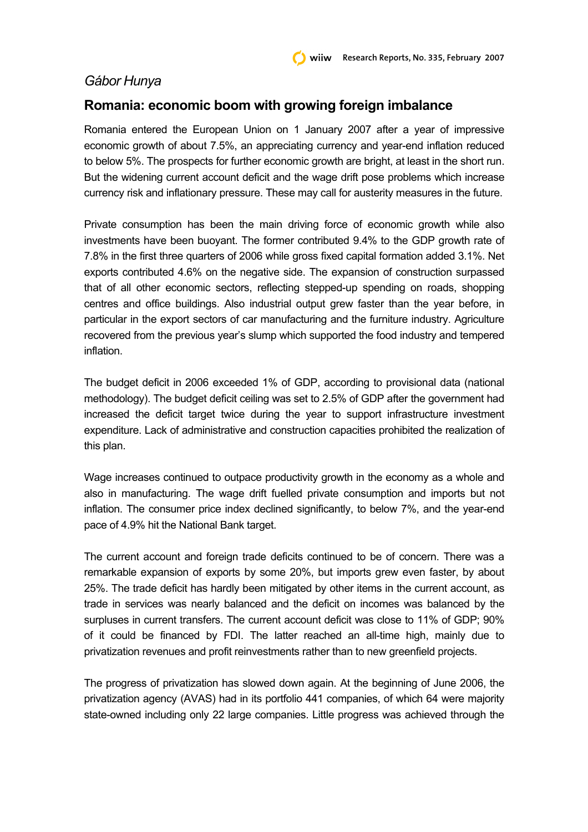## *Gábor Hunya*

## **Romania: economic boom with growing foreign imbalance**

Romania entered the European Union on 1 January 2007 after a year of impressive economic growth of about 7.5%, an appreciating currency and year-end inflation reduced to below 5%. The prospects for further economic growth are bright, at least in the short run. But the widening current account deficit and the wage drift pose problems which increase currency risk and inflationary pressure. These may call for austerity measures in the future.

Private consumption has been the main driving force of economic growth while also investments have been buoyant. The former contributed 9.4% to the GDP growth rate of 7.8% in the first three quarters of 2006 while gross fixed capital formation added 3.1%. Net exports contributed 4.6% on the negative side. The expansion of construction surpassed that of all other economic sectors, reflecting stepped-up spending on roads, shopping centres and office buildings. Also industrial output grew faster than the year before, in particular in the export sectors of car manufacturing and the furniture industry. Agriculture recovered from the previous year's slump which supported the food industry and tempered inflation.

The budget deficit in 2006 exceeded 1% of GDP, according to provisional data (national methodology). The budget deficit ceiling was set to 2.5% of GDP after the government had increased the deficit target twice during the year to support infrastructure investment expenditure. Lack of administrative and construction capacities prohibited the realization of this plan.

Wage increases continued to outpace productivity growth in the economy as a whole and also in manufacturing. The wage drift fuelled private consumption and imports but not inflation. The consumer price index declined significantly, to below 7%, and the year-end pace of 4.9% hit the National Bank target.

The current account and foreign trade deficits continued to be of concern. There was a remarkable expansion of exports by some 20%, but imports grew even faster, by about 25%. The trade deficit has hardly been mitigated by other items in the current account, as trade in services was nearly balanced and the deficit on incomes was balanced by the surpluses in current transfers. The current account deficit was close to 11% of GDP; 90% of it could be financed by FDI. The latter reached an all-time high, mainly due to privatization revenues and profit reinvestments rather than to new greenfield projects.

The progress of privatization has slowed down again. At the beginning of June 2006, the privatization agency (AVAS) had in its portfolio 441 companies, of which 64 were majority state-owned including only 22 large companies. Little progress was achieved through the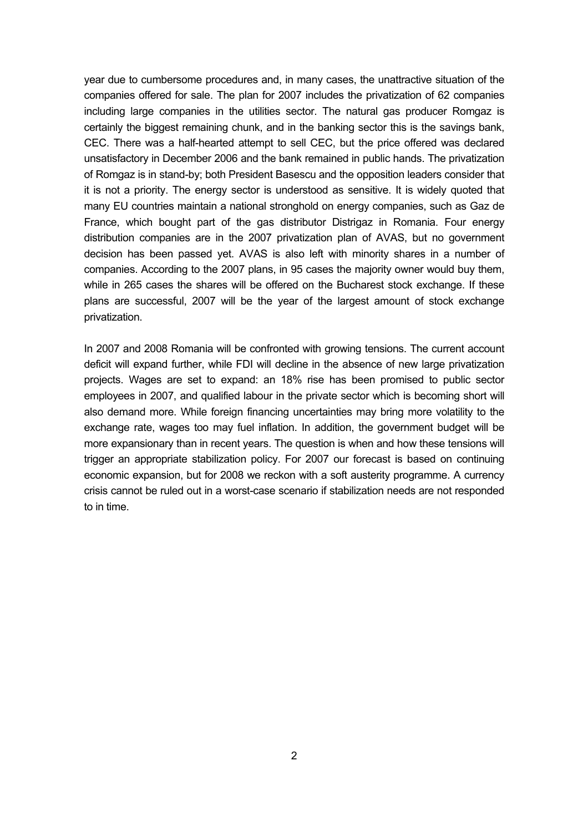year due to cumbersome procedures and, in many cases, the unattractive situation of the companies offered for sale. The plan for 2007 includes the privatization of 62 companies including large companies in the utilities sector. The natural gas producer Romgaz is certainly the biggest remaining chunk, and in the banking sector this is the savings bank, CEC. There was a half-hearted attempt to sell CEC, but the price offered was declared unsatisfactory in December 2006 and the bank remained in public hands. The privatization of Romgaz is in stand-by; both President Basescu and the opposition leaders consider that it is not a priority. The energy sector is understood as sensitive. It is widely quoted that many EU countries maintain a national stronghold on energy companies, such as Gaz de France, which bought part of the gas distributor Distrigaz in Romania. Four energy distribution companies are in the 2007 privatization plan of AVAS, but no government decision has been passed yet. AVAS is also left with minority shares in a number of companies. According to the 2007 plans, in 95 cases the majority owner would buy them, while in 265 cases the shares will be offered on the Bucharest stock exchange. If these plans are successful, 2007 will be the year of the largest amount of stock exchange privatization.

In 2007 and 2008 Romania will be confronted with growing tensions. The current account deficit will expand further, while FDI will decline in the absence of new large privatization projects. Wages are set to expand: an 18% rise has been promised to public sector employees in 2007, and qualified labour in the private sector which is becoming short will also demand more. While foreign financing uncertainties may bring more volatility to the exchange rate, wages too may fuel inflation. In addition, the government budget will be more expansionary than in recent years. The question is when and how these tensions will trigger an appropriate stabilization policy. For 2007 our forecast is based on continuing economic expansion, but for 2008 we reckon with a soft austerity programme. A currency crisis cannot be ruled out in a worst-case scenario if stabilization needs are not responded to in time.